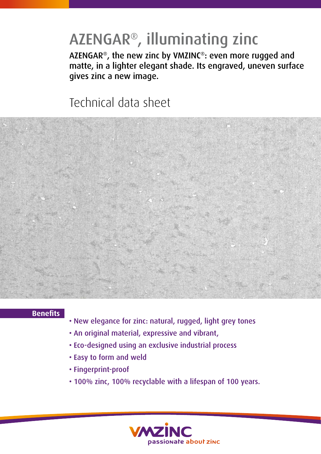# AZENGAR®, illuminating zinc

AZENGAR®, the new zinc by VMZINC®: even more rugged and matte, in a lighter elegant shade. Its engraved, uneven surface gives zinc a new image.

### Technical data sheet



### **Benefits**

- New elegance for zinc: natural, rugged, light grey tones
- An original material, expressive and vibrant,
- Eco-designed using an exclusive industrial process
- Easy to form and weld
- Fingerprint-proof
- 100% zinc, 100% recyclable with a lifespan of 100 years.